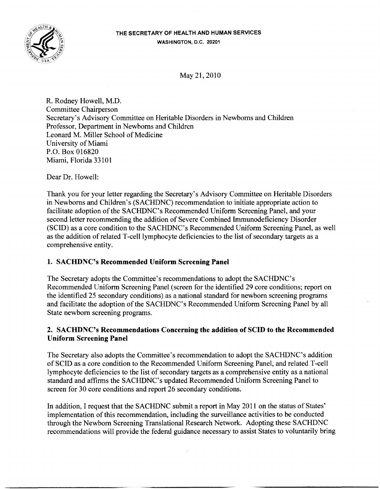

May 21, 2010

R. Rodney Howell, M.D. Committee Chairperson Secretary's Advisory Committee on Heritable Disorders in Newborns and Children Professor, Department in Newborns and Children Leonard M. Miller School of Medicine University of Miami P.O. Box 016820 Miami, Florida 33101

Dear Dr. Howell:

Thank you for your letter regarding the Secretary's Advisory Committee on Heritable Disorders in Newborns and Children's (SACHDNC) recommendation to initiate appropriate action to facilitate adoption of the SACHDNC's Recommended Uniform Screening Panel, and your second letter recommending the addition of Severe Combined Immunodeficiency Disorder (SCID) as a core condition to the SACHDNC's Recommended Uniform Screening Panel, as well as the addition of related T-cell lymphocyte deficiencies to the list of secondary targets as a comprehensive entity.

## 1. SACHDNC's Recommended Uniform Screening Panel

The Secretary adopts the Committee's recommendations to adopt the SACHDNC's Recommended Uniform Screening Panel (screen for the identified 29 core conditions; report on the identified 25 secondary conditions) as a national standard for newborn screening programs and facilitate the adoption of the SACHDNC's Recommended Uniform Screening Panel by all State newborn screening programs.

## 2. SACHDNC's Recommendations Concerning the addition of SCID to the Recommended Uniform Screening Panel

The Secretary also adopts the Committee's recommendation to adopt the SACHDNC's addition of SCID as a core condition to the Recommended Uniform Screening Panel, and related T-cell lymphocyte deficiencies to the list of secondary targets as a comprehensive entity as a national standard and affirms the SACHDNC's updated Recommended Uniform Screening Panel to screen for 30 core conditions and report 26 secondary conditions.

In addition, I request that the SACHDNC submit a report in May 2011 on the status of States' implementation of this recommendation, including the surveillance activities to be conducted through the Newborn Screening Translational Research Network. Adopting these SACHDNC recommendations will provide the federal guidance necessary to assist States to voluntarily bring